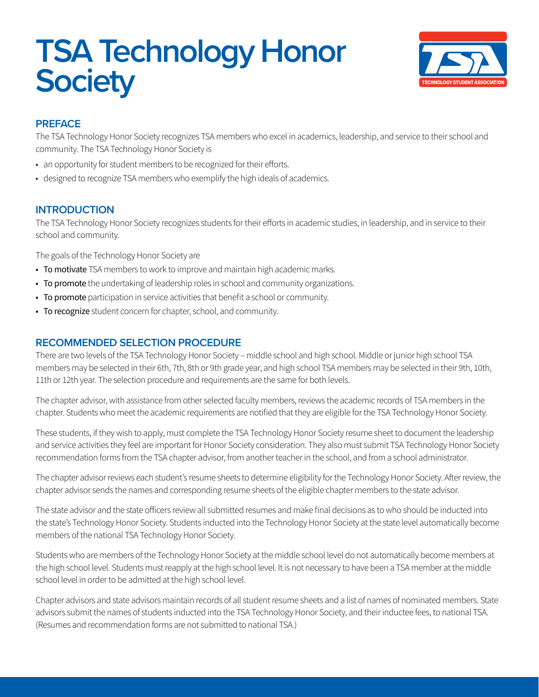# **TSA Technology Honor Society**



# **PREFACE**

The TSA Technology Honor Society recognizes TSA members who excel in academics, leadership, and service to their school and community. The TSA Technology Honor Society is

- an opportunity for student members to be recognized for their efforts.
- designed to recognize TSA members who exemplify the high ideals of academics.

# **INTRODUCTION**

The TSA Technology Honor Society recognizes students for their efforts in academic studies, in leadership, and in service to their school and community.

The goals of the Technology Honor Society are

- To motivate TSA members to work to improve and maintain high academic marks.
- To promote the undertaking of leadership roles in school and community organizations.
- To promote participation in service activities that benefit a school or community.
- To recognize student concern for chapter, school, and community.

# **RECOMMENDED SELECTION PROCEDURE**

There are two levels of the TSA Technology Honor Society – middle school and high school. Middle or junior high school TSA members may be selected in their 6th, 7th, 8th or 9th grade year, and high school TSA members may be selected in their 9th, 10th, 11th or 12th year. The selection procedure and requirements are the same for both levels.

The chapter advisor, with assistance from other selected faculty members, reviews the academic records of TSA members in the chapter. Students who meet the academic requirements are notified that they are eligible for the TSA Technology Honor Society.

These students, if they wish to apply, must complete the TSA Technology Honor Society resume sheet to document the leadership and service activities they feel are important for Honor Society consideration. They also must submit TSA Technology Honor Society recommendation forms from the TSA chapter advisor, from another teacher in the school, and from a school administrator.

The chapter advisor reviews each student's resume sheets to determine eligibility for the Technology Honor Society. After review, the chapter advisor sends the names and corresponding resume sheets of the eligible chapter members to the state advisor.

The state advisor and the state officers review all submitted resumes and make final decisions as to who should be inducted into the state's Technology Honor Society. Students inducted into the Technology Honor Society at the state level automatically become members of the national TSA Technology Honor Society.

Students who are members of the Technology Honor Society at the middle school level do not automatically become members at the high school level. Students must reapply at the high school level. It is not necessary to have been a TSA member at the middle school level in order to be admitted at the high school level.

Chapter advisors and state advisors maintain records of all student resume sheets and a list of names of nominated members. State advisors submit the names of students inducted into the TSA Technology Honor Society, and their inductee fees, to national TSA. (Resumes and recommendation forms are not submitted to national TSA.)